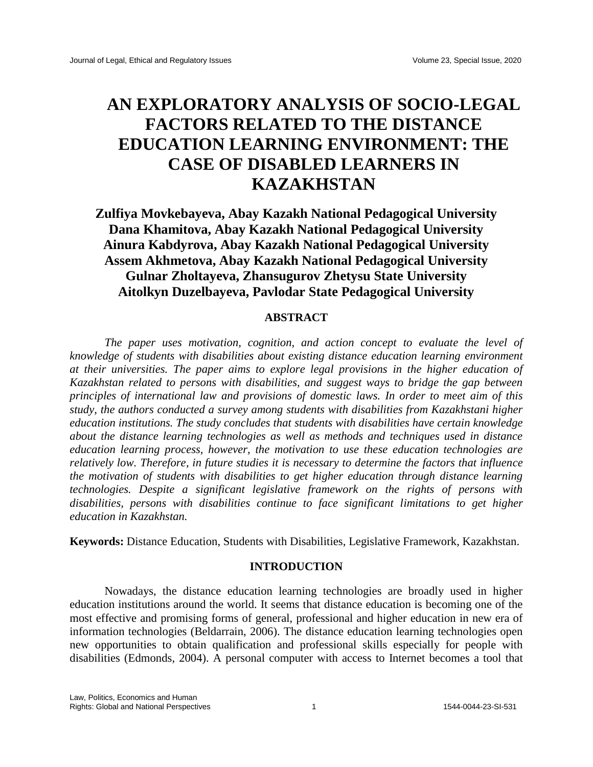# **AN EXPLORATORY ANALYSIS OF SOCIO-LEGAL FACTORS RELATED TO THE DISTANCE EDUCATION LEARNING ENVIRONMENT: THE CASE OF DISABLED LEARNERS IN KAZAKHSTAN**

**Zulfiya Movkebayeva, Abay Kazakh National Pedagogical University Dana Khamitova, Abay Kazakh National Pedagogical University Ainura Kabdyrova, Abay Kazakh National Pedagogical University Assem Akhmetova, Abay Kazakh National Pedagogical University Gulnar Zholtayeva, Zhansugurov Zhetysu State University Aitolkyn Duzelbayeva, Pavlodar State Pedagogical University**

## **ABSTRACT**

*The paper uses motivation, cognition, and action concept to evaluate the level of knowledge of students with disabilities about existing distance education learning environment at their universities. The paper aims to explore legal provisions in the higher education of Kazakhstan related to persons with disabilities, and suggest ways to bridge the gap between principles of international law and provisions of domestic laws. In order to meet aim of this study, the authors conducted a survey among students with disabilities from Kazakhstani higher education institutions. The study concludes that students with disabilities have certain knowledge about the distance learning technologies as well as methods and techniques used in distance education learning process, however, the motivation to use these education technologies are relatively low. Therefore, in future studies it is necessary to determine the factors that influence the motivation of students with disabilities to get higher education through distance learning technologies. Despite a significant legislative framework on the rights of persons with disabilities, persons with disabilities continue to face significant limitations to get higher education in Kazakhstan.* 

**Keywords:** Distance Education, Students with Disabilities, Legislative Framework, Kazakhstan.

# **INTRODUCTION**

Nowadays, the distance education learning technologies are broadly used in higher education institutions around the world. It seems that distance education is becoming one of the most effective and promising forms of general, professional and higher education in new era of information technologies (Beldarrain, 2006). The distance education learning technologies open new opportunities to obtain qualification and professional skills especially for people with disabilities (Edmonds, 2004). A personal computer with access to Internet becomes a tool that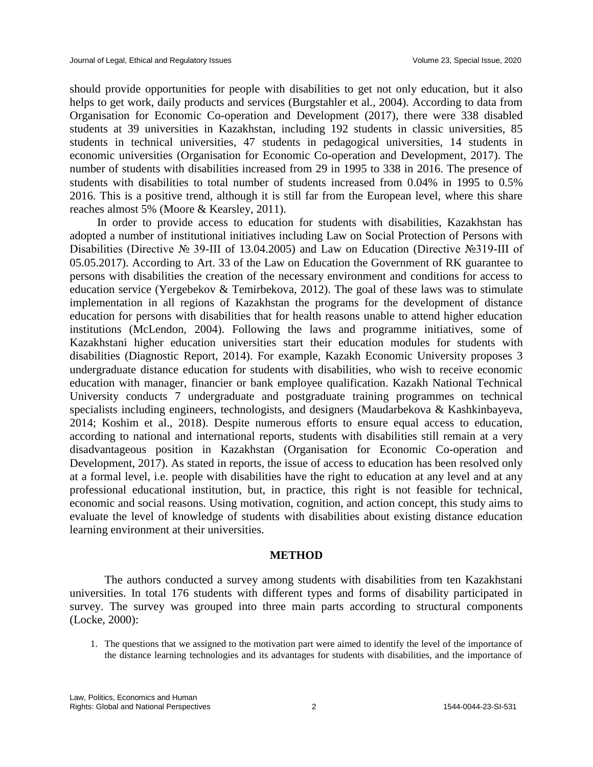should provide opportunities for people with disabilities to get not only education, but it also helps to get work, daily products and services (Burgstahler et al., 2004). According to data from Organisation for Economic Co-operation and Development (2017), there were 338 disabled students at 39 universities in Kazakhstan, including 192 students in classic universities, 85 students in technical universities, 47 students in pedagogical universities, 14 students in economic universities (Organisation for Economic Co-operation and Development, 2017). The number of students with disabilities increased from 29 in 1995 to 338 in 2016. The presence of students with disabilities to total number of students increased from 0.04% in 1995 to 0.5% 2016. This is a positive trend, although it is still far from the European level, where this share reaches almost 5% (Moore & Kearsley, 2011).

In order to provide access to education for students with disabilities, Kazakhstan has adopted a number of institutional initiatives including Law on Social Protection of Persons with Disabilities (Directive № 39-III of 13.04.2005) and Law on Education (Directive №319-ІІІ of 05.05.2017). According to Art. 33 of the Law on Education the Government of RK guarantee to persons with disabilities the creation of the necessary environment and conditions for access to education service (Yergebekov & Temirbekova, 2012). The goal of these laws was to stimulate implementation in all regions of Kazakhstan the programs for the development of distance education for persons with disabilities that for health reasons unable to attend higher education institutions (McLendon, 2004). Following the laws and programme initiatives, some of Kazakhstani higher education universities start their education modules for students with disabilities (Diagnostic Report, 2014). For example, Kazakh Economic University proposes 3 undergraduate distance education for students with disabilities, who wish to receive economic education with manager, financier or bank employee qualification. Kazakh National Technical University conducts 7 undergraduate and postgraduate training programmes on technical specialists including engineers, technologists, and designers (Maudarbekova & Kashkinbayeva, 2014; Koshim et al., 2018). Despite numerous efforts to ensure equal access to education, according to national and international reports, students with disabilities still remain at a very disadvantageous position in Kazakhstan (Organisation for Economic Co-operation and Development, 2017). As stated in reports, the issue of access to education has been resolved only at a formal level, i.e. people with disabilities have the right to education at any level and at any professional educational institution, but, in practice, this right is not feasible for technical, economic and social reasons. Using motivation, cognition, and action concept, this study aims to evaluate the level of knowledge of students with disabilities about existing distance education learning environment at their universities.

## **METHOD**

The authors conducted a survey among students with disabilities from ten Kazakhstani universities. In total 176 students with different types and forms of disability participated in survey. The survey was grouped into three main parts according to structural components (Locke, 2000):

1. The questions that we assigned to the motivation part were aimed to identify the level of the importance of the distance learning technologies and its advantages for students with disabilities, and the importance of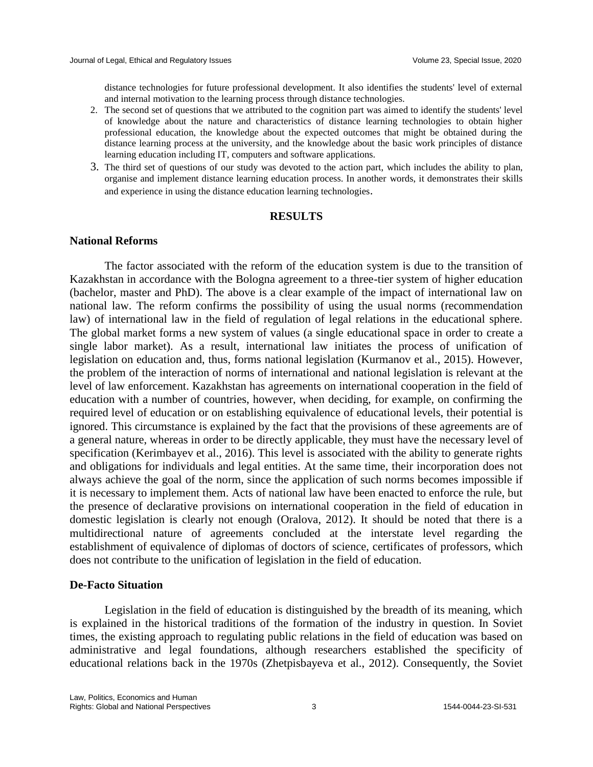distance technologies for future professional development. It also identifies the students' level of external and internal motivation to the learning process through distance technologies.

- 2. The second set of questions that we attributed to the cognition part was aimed to identify the students' level of knowledge about the nature and characteristics of distance learning technologies to obtain higher professional education, the knowledge about the expected outcomes that might be obtained during the distance learning process at the university, and the knowledge about the basic work principles of distance learning education including IT, computers and software applications.
- 3. The third set of questions of our study was devoted to the action part, which includes the ability to plan, organise and implement distance learning education process. In another words, it demonstrates their skills and experience in using the distance education learning technologies.

## **RESULTS**

## **National Reforms**

The factor associated with the reform of the education system is due to the transition of Kazakhstan in accordance with the Bologna agreement to a three-tier system of higher education (bachelor, master and PhD). The above is a clear example of the impact of international law on national law. The reform confirms the possibility of using the usual norms (recommendation law) of international law in the field of regulation of legal relations in the educational sphere. The global market forms a new system of values (a single educational space in order to create a single labor market). As a result, international law initiates the process of unification of legislation on education and, thus, forms national legislation (Kurmanov et al., 2015). However, the problem of the interaction of norms of international and national legislation is relevant at the level of law enforcement. Kazakhstan has agreements on international cooperation in the field of education with a number of countries, however, when deciding, for example, on confirming the required level of education or on establishing equivalence of educational levels, their potential is ignored. This circumstance is explained by the fact that the provisions of these agreements are of a general nature, whereas in order to be directly applicable, they must have the necessary level of specification (Kerimbayev et al., 2016). This level is associated with the ability to generate rights and obligations for individuals and legal entities. At the same time, their incorporation does not always achieve the goal of the norm, since the application of such norms becomes impossible if it is necessary to implement them. Acts of national law have been enacted to enforce the rule, but the presence of declarative provisions on international cooperation in the field of education in domestic legislation is clearly not enough (Oralova, 2012). It should be noted that there is a multidirectional nature of agreements concluded at the interstate level regarding the establishment of equivalence of diplomas of doctors of science, certificates of professors, which does not contribute to the unification of legislation in the field of education.

#### **De-Facto Situation**

Legislation in the field of education is distinguished by the breadth of its meaning, which is explained in the historical traditions of the formation of the industry in question. In Soviet times, the existing approach to regulating public relations in the field of education was based on administrative and legal foundations, although researchers established the specificity of educational relations back in the 1970s (Zhetpisbayeva et al., 2012). Consequently, the Soviet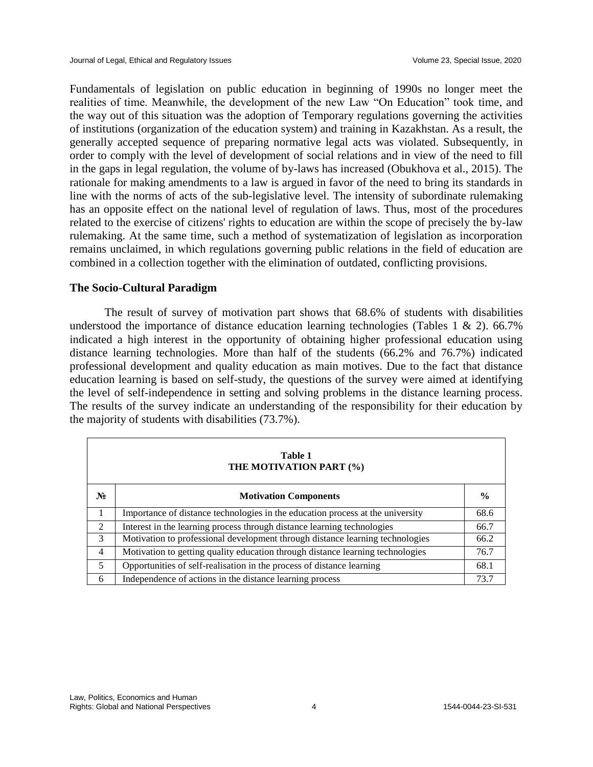Fundamentals of legislation on public education in beginning of 1990s no longer meet the realities of time. Meanwhile, the development of the new Law "On Education" took time, and the way out of this situation was the adoption of Temporary regulations governing the activities of institutions (organization of the education system) and training in Kazakhstan. As a result, the generally accepted sequence of preparing normative legal acts was violated. Subsequently, in order to comply with the level of development of social relations and in view of the need to fill in the gaps in legal regulation, the volume of by-laws has increased (Obukhova et al., 2015). The rationale for making amendments to a law is argued in favor of the need to bring its standards in line with the norms of acts of the sub-legislative level. The intensity of subordinate rulemaking has an opposite effect on the national level of regulation of laws. Thus, most of the procedures related to the exercise of citizens' rights to education are within the scope of precisely the by-law rulemaking. At the same time, such a method of systematization of legislation as incorporation remains unclaimed, in which regulations governing public relations in the field of education are combined in a collection together with the elimination of outdated, conflicting provisions.

## **The Socio-Cultural Paradigm**

The result of survey of motivation part shows that 68.6% of students with disabilities understood the importance of distance education learning technologies (Tables 1  $\&$  2). 66.7% indicated a high interest in the opportunity of obtaining higher professional education using distance learning technologies. More than half of the students (66.2% and 76.7%) indicated professional development and quality education as main motives. Due to the fact that distance education learning is based on self-study, the questions of the survey were aimed at identifying the level of self-independence in setting and solving problems in the distance learning process. The results of the survey indicate an understanding of the responsibility for their education by the majority of students with disabilities (73.7%).

| Table 1<br>THE MOTIVATION PART (%) |                                                                                |               |  |  |  |
|------------------------------------|--------------------------------------------------------------------------------|---------------|--|--|--|
| $N_2$                              | <b>Motivation Components</b>                                                   | $\frac{0}{0}$ |  |  |  |
| 1                                  | Importance of distance technologies in the education process at the university | 68.6          |  |  |  |
| 2                                  | Interest in the learning process through distance learning technologies        | 66.7          |  |  |  |
| 3                                  | Motivation to professional development through distance learning technologies  | 66.2          |  |  |  |
| $\overline{4}$                     | Motivation to getting quality education through distance learning technologies | 76.7          |  |  |  |
| 5                                  | Opportunities of self-realisation in the process of distance learning          | 68.1          |  |  |  |
| 6                                  | Independence of actions in the distance learning process                       | 73.7          |  |  |  |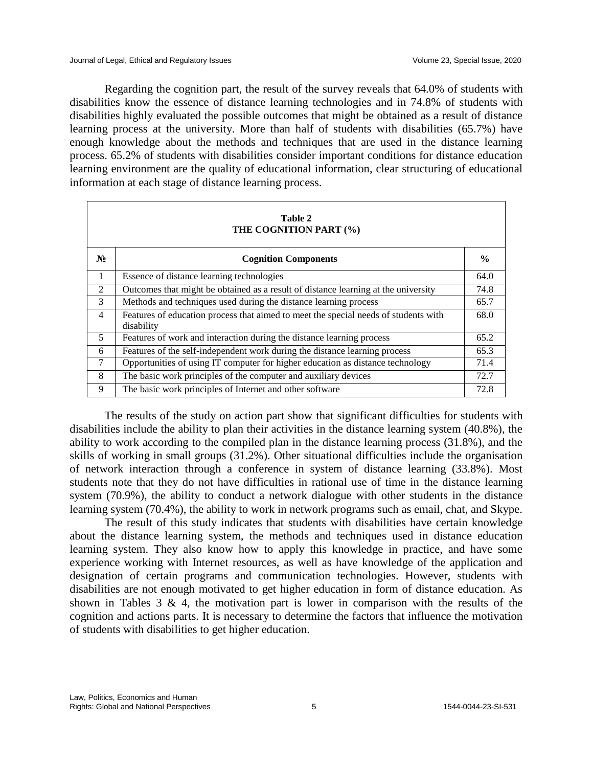Regarding the cognition part, the result of the survey reveals that 64.0% of students with disabilities know the essence of distance learning technologies and in 74.8% of students with disabilities highly evaluated the possible outcomes that might be obtained as a result of distance learning process at the university. More than half of students with disabilities (65.7%) have enough knowledge about the methods and techniques that are used in the distance learning process. 65.2% of students with disabilities consider important conditions for distance education learning environment are the quality of educational information, clear structuring of educational information at each stage of distance learning process.

| Table 2<br>THE COGNITION PART (%) |                                                                                                   |               |  |  |  |
|-----------------------------------|---------------------------------------------------------------------------------------------------|---------------|--|--|--|
| $N_2$                             | <b>Cognition Components</b>                                                                       | $\frac{0}{0}$ |  |  |  |
| $\mathbf{1}$                      | Essence of distance learning technologies                                                         | 64.0          |  |  |  |
| $\mathfrak{D}$                    | Outcomes that might be obtained as a result of distance learning at the university                | 74.8          |  |  |  |
| 3                                 | Methods and techniques used during the distance learning process                                  | 65.7          |  |  |  |
| $\overline{4}$                    | Features of education process that aimed to meet the special needs of students with<br>disability | 68.0          |  |  |  |
| 5                                 | Features of work and interaction during the distance learning process                             | 65.2          |  |  |  |
| 6                                 | Features of the self-independent work during the distance learning process                        | 65.3          |  |  |  |
| 7                                 | Opportunities of using IT computer for higher education as distance technology                    | 71.4          |  |  |  |
| 8                                 | The basic work principles of the computer and auxiliary devices                                   | 72.7          |  |  |  |
| 9                                 | The basic work principles of Internet and other software                                          | 72.8          |  |  |  |

The results of the study on action part show that significant difficulties for students with disabilities include the ability to plan their activities in the distance learning system (40.8%), the ability to work according to the compiled plan in the distance learning process (31.8%), and the skills of working in small groups (31.2%). Other situational difficulties include the organisation of network interaction through a conference in system of distance learning (33.8%). Most students note that they do not have difficulties in rational use of time in the distance learning system (70.9%), the ability to conduct a network dialogue with other students in the distance learning system (70.4%), the ability to work in network programs such as email, chat, and Skype.

The result of this study indicates that students with disabilities have certain knowledge about the distance learning system, the methods and techniques used in distance education learning system. They also know how to apply this knowledge in practice, and have some experience working with Internet resources, as well as have knowledge of the application and designation of certain programs and communication technologies. However, students with disabilities are not enough motivated to get higher education in form of distance education. As shown in Tables 3 & 4, the motivation part is lower in comparison with the results of the cognition and actions parts. It is necessary to determine the factors that influence the motivation of students with disabilities to get higher education.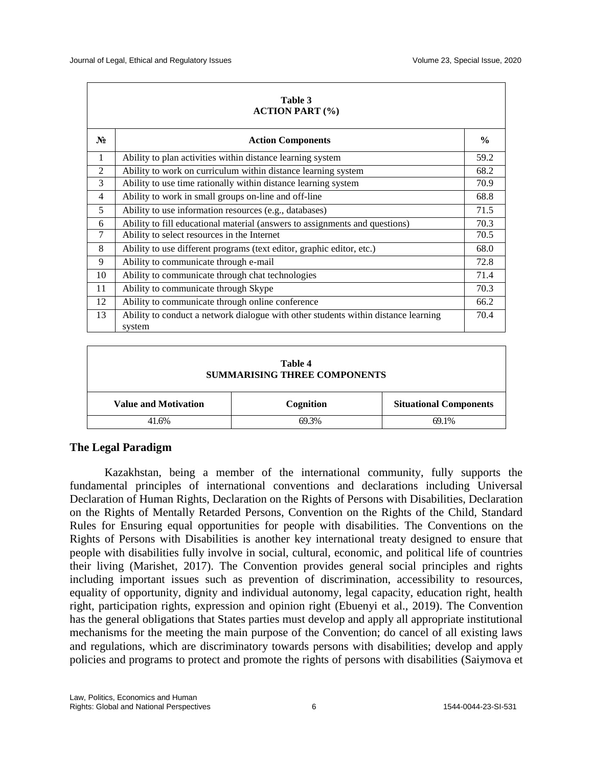| Table 3<br><b>ACTION PART (%)</b> |                                                                                              |               |  |  |
|-----------------------------------|----------------------------------------------------------------------------------------------|---------------|--|--|
| $N_2$                             | <b>Action Components</b>                                                                     | $\frac{6}{9}$ |  |  |
| $\mathbf{1}$                      | Ability to plan activities within distance learning system                                   | 59.2          |  |  |
| 2                                 | Ability to work on curriculum within distance learning system                                | 68.2          |  |  |
| 3                                 | Ability to use time rationally within distance learning system                               | 70.9          |  |  |
| 4                                 | Ability to work in small groups on-line and off-line                                         | 68.8          |  |  |
| 5                                 | Ability to use information resources (e.g., databases)                                       | 71.5          |  |  |
| 6                                 | Ability to fill educational material (answers to assignments and questions)                  | 70.3          |  |  |
| $\tau$                            | Ability to select resources in the Internet                                                  | 70.5          |  |  |
| 8                                 | Ability to use different programs (text editor, graphic editor, etc.)                        | 68.0          |  |  |
| 9                                 | Ability to communicate through e-mail                                                        | 72.8          |  |  |
| 10                                | Ability to communicate through chat technologies                                             | 71.4          |  |  |
| 11                                | Ability to communicate through Skype                                                         | 70.3          |  |  |
| 12                                | Ability to communicate through online conference                                             | 66.2          |  |  |
| 13                                | Ability to conduct a network dialogue with other students within distance learning<br>system | 70.4          |  |  |

| Table 4<br><b>SUMMARISING THREE COMPONENTS</b> |           |                               |  |  |  |
|------------------------------------------------|-----------|-------------------------------|--|--|--|
| <b>Value and Motivation</b>                    | Cognition | <b>Situational Components</b> |  |  |  |
| 41.6%                                          | 69.3%     | 69.1%                         |  |  |  |

# **The Legal Paradigm**

Kazakhstan, being a member of the international community, fully supports the fundamental principles of international conventions and declarations including Universal Declaration of Human Rights, Declaration on the Rights of Persons with Disabilities, Declaration on the Rights of Mentally Retarded Persons, Convention on the Rights of the Child, Standard Rules for Ensuring equal opportunities for people with disabilities. The Conventions on the Rights of Persons with Disabilities is another key international treaty designed to ensure that people with disabilities fully involve in social, cultural, economic, and political life of countries their living (Marishet, 2017). The Convention provides general social principles and rights including important issues such as prevention of discrimination, accessibility to resources, equality of opportunity, dignity and individual autonomy, legal capacity, education right, health right, participation rights, expression and opinion right (Ebuenyi et al., 2019). The Convention has the general obligations that States parties must develop and apply all appropriate institutional mechanisms for the meeting the main purpose of the Convention; do cancel of all existing laws and regulations, which are discriminatory towards persons with disabilities; develop and apply policies and programs to protect and promote the rights of persons with disabilities (Saiymova et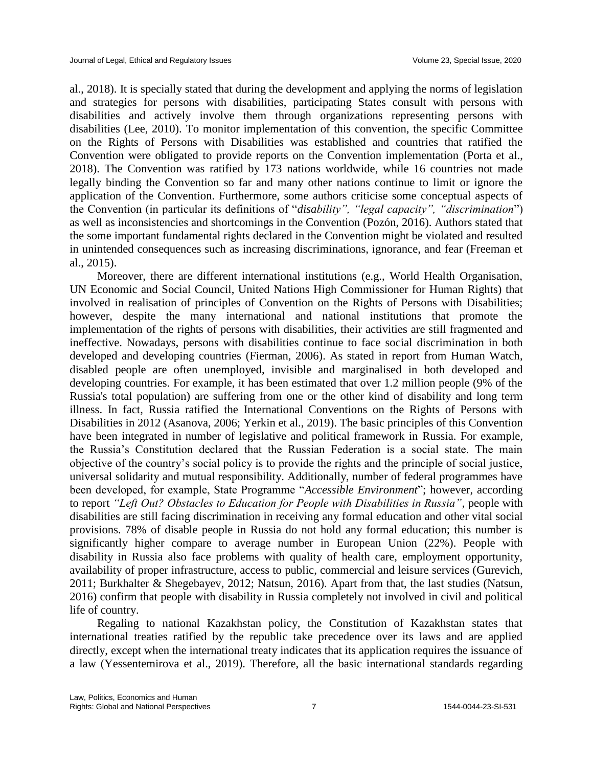al., 2018). It is specially stated that during the development and applying the norms of legislation and strategies for persons with disabilities, participating States consult with persons with disabilities and actively involve them through organizations representing persons with disabilities (Lee, 2010). To monitor implementation of this convention, the specific Committee on the Rights of Persons with Disabilities was established and countries that ratified the Convention were obligated to provide reports on the Convention implementation (Porta et al., 2018). The Convention was ratified by 173 nations worldwide, while 16 countries not made legally binding the Convention so far and many other nations continue to limit or ignore the application of the Convention. Furthermore, some authors criticise some conceptual aspects of the Convention (in particular its definitions of "*disability", "legal capacity", "discrimination*") as well as inconsistencies and shortcomings in the Convention (Pozón, 2016). Authors stated that the some important fundamental rights declared in the Convention might be violated and resulted in unintended consequences such as increasing discriminations, ignorance, and fear (Freeman et al., 2015).

Moreover, there are different international institutions (e.g., World Health Organisation, UN Economic and Social Council, United Nations High Commissioner for Human Rights) that involved in realisation of principles of Convention on the Rights of Persons with Disabilities; however, despite the many international and national institutions that promote the implementation of the rights of persons with disabilities, their activities are still fragmented and ineffective. Nowadays, persons with disabilities continue to face social discrimination in both developed and developing countries (Fierman, 2006). As stated in report from Human Watch, disabled people are often unemployed, invisible and marginalised in both developed and developing countries. For example, it has been estimated that over 1.2 million people (9% of the Russia's total population) are suffering from one or the other kind of disability and long term illness. In fact, Russia ratified the International Conventions on the Rights of Persons with Disabilities in 2012 (Asanova, 2006; Yerkin et al., 2019). The basic principles of this Convention have been integrated in number of legislative and political framework in Russia. For example, the Russia's Constitution declared that the Russian Federation is a social state. The main objective of the country's social policy is to provide the rights and the principle of social justice, universal solidarity and mutual responsibility. Additionally, number of federal programmes have been developed, for example, State Programme "*Accessible Environment*"; however, according to report *"Left Out? Obstacles to Education for People with Disabilities in Russia"*, people with disabilities are still facing discrimination in receiving any formal education and other vital social provisions. 78% of disable people in Russia do not hold any formal education; this number is significantly higher compare to average number in European Union (22%). People with disability in Russia also face problems with quality of health care, employment opportunity, availability of proper infrastructure, access to public, commercial and leisure services (Gurevich, 2011; Burkhalter & Shegebayev, 2012; Natsun, 2016). Apart from that, the last studies (Natsun, 2016) confirm that people with disability in Russia completely not involved in civil and political life of country.

Regaling to national Kazakhstan policy, the Constitution of Kazakhstan states that international treaties ratified by the republic take precedence over its laws and are applied directly, except when the international treaty indicates that its application requires the issuance of a law (Yessentemirova et al., 2019). Therefore, all the basic international standards regarding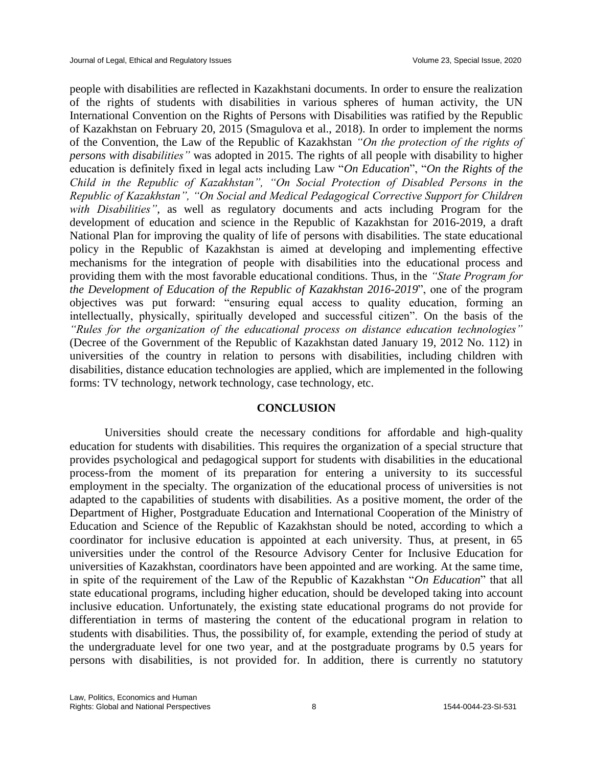people with disabilities are reflected in Kazakhstani documents. In order to ensure the realization of the rights of students with disabilities in various spheres of human activity, the UN International Convention on the Rights of Persons with Disabilities was ratified by the Republic of Kazakhstan on February 20, 2015 (Smagulova et al., 2018). In order to implement the norms of the Convention, the Law of the Republic of Kazakhstan *"On the protection of the rights of persons with disabilities"* was adopted in 2015. The rights of all people with disability to higher education is definitely fixed in legal acts including Law "*On Education*", "*On the Rights of the Child in the Republic of Kazakhstan", "On Social Protection of Disabled Persons in the Republic of Kazakhstan", "On Social and Medical Pedagogical Corrective Support for Children with Disabilities"*, as well as regulatory documents and acts including Program for the development of education and science in the Republic of Kazakhstan for 2016-2019, a draft National Plan for improving the quality of life of persons with disabilities. The state educational policy in the Republic of Kazakhstan is aimed at developing and implementing effective mechanisms for the integration of people with disabilities into the educational process and providing them with the most favorable educational conditions. Thus, in the *"State Program for the Development of Education of the Republic of Kazakhstan 2016-2019*", one of the program objectives was put forward: "ensuring equal access to quality education, forming an intellectually, physically, spiritually developed and successful citizen". On the basis of the *"Rules for the organization of the educational process on distance education technologies"* (Decree of the Government of the Republic of Kazakhstan dated January 19, 2012 No. 112) in universities of the country in relation to persons with disabilities, including children with disabilities, distance education technologies are applied, which are implemented in the following forms: TV technology, network technology, case technology, etc.

#### **CONCLUSION**

Universities should create the necessary conditions for affordable and high-quality education for students with disabilities. This requires the organization of a special structure that provides psychological and pedagogical support for students with disabilities in the educational process-from the moment of its preparation for entering a university to its successful employment in the specialty. The organization of the educational process of universities is not adapted to the capabilities of students with disabilities. As a positive moment, the order of the Department of Higher, Postgraduate Education and International Cooperation of the Ministry of Education and Science of the Republic of Kazakhstan should be noted, according to which a coordinator for inclusive education is appointed at each university. Thus, at present, in 65 universities under the control of the Resource Advisory Center for Inclusive Education for universities of Kazakhstan, coordinators have been appointed and are working. At the same time, in spite of the requirement of the Law of the Republic of Kazakhstan "*On Education*" that all state educational programs, including higher education, should be developed taking into account inclusive education. Unfortunately, the existing state educational programs do not provide for differentiation in terms of mastering the content of the educational program in relation to students with disabilities. Thus, the possibility of, for example, extending the period of study at the undergraduate level for one two year, and at the postgraduate programs by 0.5 years for persons with disabilities, is not provided for. In addition, there is currently no statutory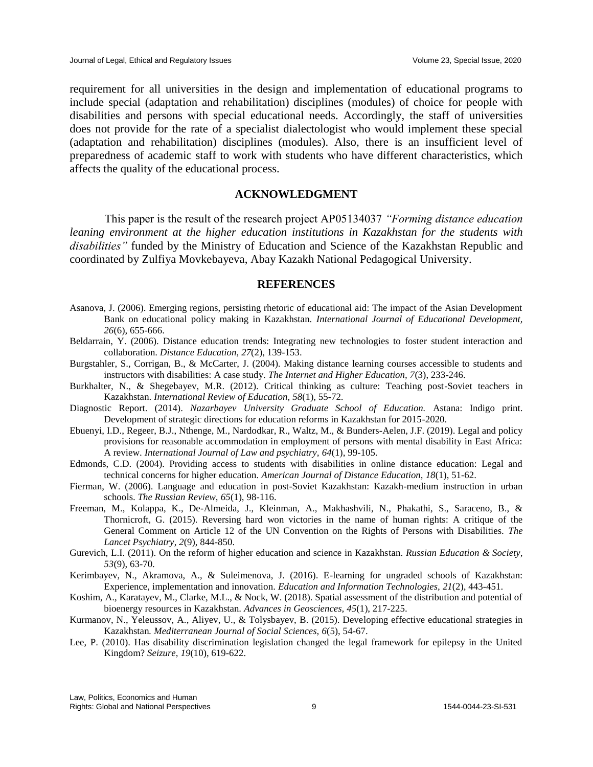requirement for all universities in the design and implementation of educational programs to include special (adaptation and rehabilitation) disciplines (modules) of choice for people with disabilities and persons with special educational needs. Accordingly, the staff of universities does not provide for the rate of a specialist dialectologist who would implement these special (adaptation and rehabilitation) disciplines (modules). Also, there is an insufficient level of preparedness of academic staff to work with students who have different characteristics, which affects the quality of the educational process.

## **ACKNOWLEDGMENT**

This paper is the result of the research project АР05134037 *"Forming distance education leaning environment at the higher education institutions in Kazakhstan for the students with disabilities"* funded by the Ministry of Education and Science of the Kazakhstan Republic and coordinated by Zulfiya Movkebayeva, Abay Kazakh National Pedagogical University.

#### **REFERENCES**

- Asanova, J. (2006). Emerging regions, persisting rhetoric of educational aid: The impact of the Asian Development Bank on educational policy making in Kazakhstan. *International Journal of Educational Development, 26*(6), 655-666.
- Beldarrain, Y. (2006). Distance education trends: Integrating new technologies to foster student interaction and collaboration. *Distance Education, 27*(2), 139-153.
- Burgstahler, S., Corrigan, B., & McCarter, J. (2004). Making distance learning courses accessible to students and instructors with disabilities: A case study. *The Internet and Higher Education, 7*(3), 233-246.
- Burkhalter, N., & Shegebayev, M.R. (2012). Critical thinking as culture: Teaching post-Soviet teachers in Kazakhstan. *International Review of Education, 58*(1), 55-72.
- Diagnostic Report. (2014). *Nazarbayev University Graduate School of Education.* Astana: Indigo print. Development of strategic directions for education reforms in Kazakhstan for 2015-2020.
- Ebuenyi, I.D., Regeer, B.J., Nthenge, M., Nardodkar, R., Waltz, M., & Bunders-Aelen, J.F. (2019). Legal and policy provisions for reasonable accommodation in employment of persons with mental disability in East Africa: A review. *International Journal of Law and psychiatry, 64*(1), 99-105.
- Edmonds, C.D. (2004). Providing access to students with disabilities in online distance education: Legal and technical concerns for higher education. *American Journal of Distance Education, 18*(1), 51-62.
- Fierman, W. (2006). Language and education in post-Soviet Kazakhstan: Kazakh-medium instruction in urban schools. *The Russian Review, 65*(1), 98-116.
- Freeman, M., Kolappa, K., De-Almeida, J., Kleinman, A., Makhashvili, N., Phakathi, S., Saraceno, B., & Thornicroft, G. (2015). Reversing hard won victories in the name of human rights: A critique of the General Comment on Article 12 of the UN Convention on the Rights of Persons with Disabilities. *The Lancet Psychiatry*, *2*(9), 844-850.
- Gurevich, L.I. (2011). On the reform of higher education and science in Kazakhstan. *Russian Education & Society, 53*(9), 63-70.
- Kerimbayev, N., Akramova, A., & Suleimenova, J. (2016). E-learning for ungraded schools of Kazakhstan: Experience, implementation and innovation. *Education and Information Technologies, 21*(2), 443-451.
- Koshim, A., Karatayev, M., Clarke, M.L., & Nock, W. (2018). Spatial assessment of the distribution and potential of bioenergy resources in Kazakhstan. *Advances in Geosciences, 45*(1), 217-225.
- Kurmanov, N., Yeleussov, A., Aliyev, U., & Tolysbayev, B. (2015). Developing effective educational strategies in Kazakhstan*. Mediterranean Journal of Social Sciences, 6*(5), 54-67.
- Lee, P. (2010). Has disability discrimination legislation changed the legal framework for epilepsy in the United Kingdom? *Seizure, 19*(10), 619-622.